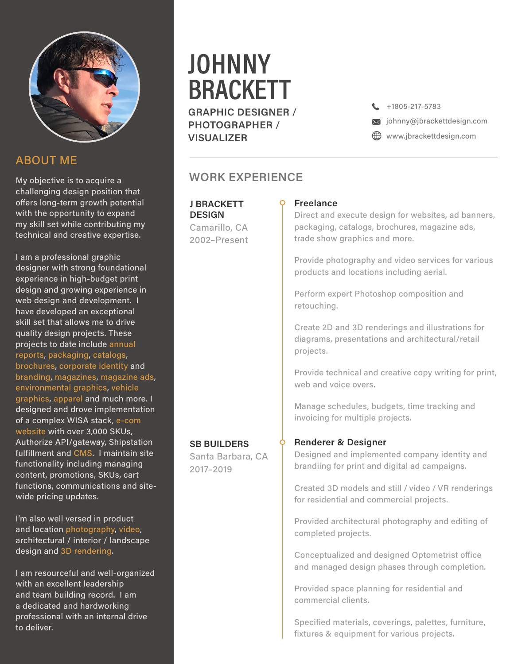

## ABOUT ME

My objective is to acquire a challenging design position that offers long-term growth potential with the opportunity to expand my skill set while contributing my technical and creative expertise.

I am a professional graphic designer with strong foundational experience in high-budget print design and growing experience in web design and development. I have developed an exceptional skill set that allows me to drive quality design projects. These projects to date include annual reports, packaging, catalogs, brochures, corporate identity and branding, magazines, magazine ads, environmental graphics, vehicle graphics, apparel and much more. I designed and drove implementation of a complex WISA stack, e-com website with over 3,000 SKUs, Authorize API/gateway, Shipstation fulfillment and CMS. I maintain site functionality including managing content, promotions, SKUs, cart functions, communications and sitewide pricing updates.

I'm also well versed in product and location photography, video, architectural / interior / landscape design and 3D rendering.

I am resourceful and well-organized with an excellent leadership and team building record. I am a dedicated and hardworking professional with an internal drive to deliver.

# **JOHNNY** BRACKETT

GRAPHIC DESIGNER / PHOTOGRAPHER / **VISUALIZER** 

 $\bigcup$  +1805-217-5783

 $\overline{\mathsf{M}}$  johnny@jbrackettdesign.com

**ED** www.jbrackettdesign.com

## WORK EXPERIENCE

J BRACKETT **DESIGN** Camarillo, CA 2002–Present

### Freelance

Direct and execute design for websites, ad banners, packaging, catalogs, brochures, magazine ads, trade show graphics and more.

Provide photography and video services for various products and locations including aerial.

Perform expert Photoshop composition and retouching.

Create 2D and 3D renderings and illustrations for diagrams, presentations and architectural/retail projects.

Provide technical and creative copy writing for print, web and voice overs.

Manage schedules, budgets, time tracking and invoicing for multiple projects.

#### **SB BUILDERS**

Santa Barbara, CA 2017–2019

#### Renderer & Designer

Designed and implemented company identity and brandiing for print and digital ad campaigns.

Created 3D models and still / video / VR renderings for residential and commercial projects.

Provided architectural photography and editing of completed projects.

Conceptualized and designed Optometrist office and managed design phases through completion.

Provided space planning for residential and commercial clients.

Specified materials, coverings, palettes, furniture, fixtures & equipment for various projects.